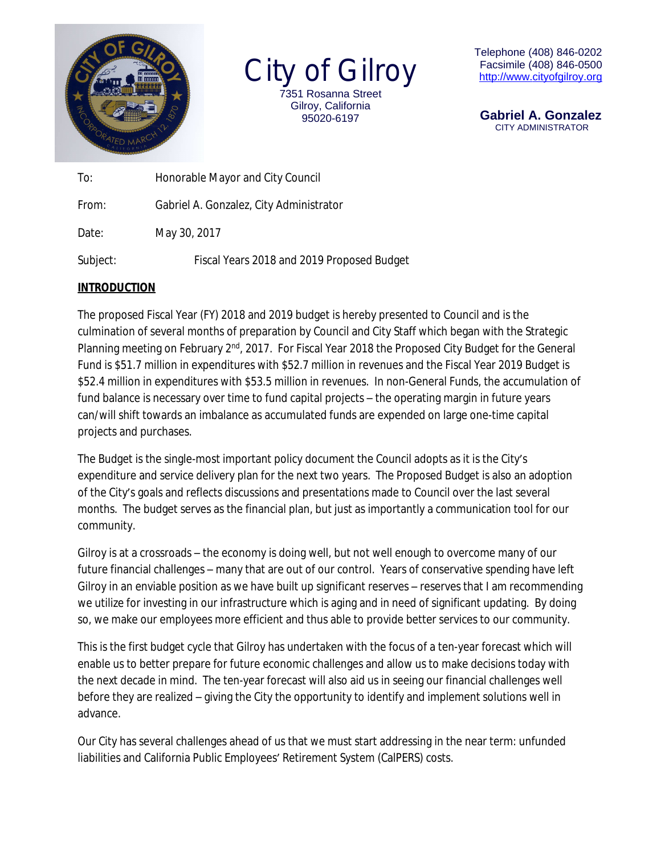

City of Gilroy 7351 Rosanna Street Gilroy, California 95020-6197

Telephone (408) 846-0202 Facsimile (408) 846-0500 [http://www.c](http://www.)ityofgilroy.org

 **Gabriel A. Gonzalez** CITY ADMINISTRATOR

| To:      | Honorable Mayor and City Council           |  |  |  |  |  |
|----------|--------------------------------------------|--|--|--|--|--|
| From:    | Gabriel A. Gonzalez, City Administrator    |  |  |  |  |  |
| Date:    | May 30, 2017                               |  |  |  |  |  |
| Subject: | Fiscal Years 2018 and 2019 Proposed Budget |  |  |  |  |  |

## **INTRODUCTION**

The proposed Fiscal Year (FY) 2018 and 2019 budget is hereby presented to Council and is the culmination of several months of preparation by Council and City Staff which began with the Strategic Planning meeting on February 2<sup>nd</sup>, 2017. For Fiscal Year 2018 the Proposed City Budget for the General Fund is \$51.7 million in expenditures with \$52.7 million in revenues and the Fiscal Year 2019 Budget is \$52.4 million in expenditures with \$53.5 million in revenues. In non-General Funds, the accumulation of fund balance is necessary over time to fund capital projects – the operating margin in future years can/will shift towards an imbalance as accumulated funds are expended on large one-time capital projects and purchases.

The Budget is the single-most important policy document the Council adopts as it is the City's expenditure and service delivery plan for the next two years. The Proposed Budget is also an adoption of the City's goals and reflects discussions and presentations made to Council over the last several months. The budget serves as the financial plan, but just as importantly a communication tool for our community.

Gilroy is at a crossroads – the economy is doing well, but not well enough to overcome many of our future financial challenges – many that are out of our control. Years of conservative spending have left Gilroy in an enviable position as we have built up significant reserves – reserves that I am recommending we utilize for investing in our infrastructure which is aging and in need of significant updating. By doing so, we make our employees more efficient and thus able to provide better services to our community.

This is the first budget cycle that Gilroy has undertaken with the focus of a ten-year forecast which will enable us to better prepare for future economic challenges and allow us to make decisions today with the next decade in mind. The ten-year forecast will also aid us in seeing our financial challenges well before they are realized – giving the City the opportunity to identify and implement solutions well in advance.

Our City has several challenges ahead of us that we must start addressing in the near term: unfunded liabilities and California Public Employees' Retirement System (CalPERS) costs.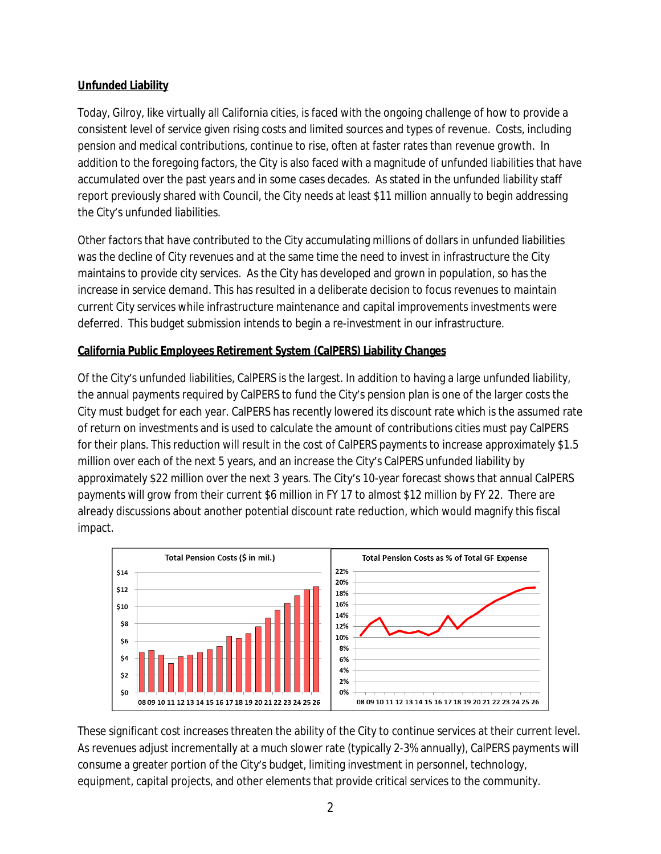## **Unfunded Liability**

Today, Gilroy, like virtually all California cities, is faced with the ongoing challenge of how to provide a consistent level of service given rising costs and limited sources and types of revenue. Costs, including pension and medical contributions, continue to rise, often at faster rates than revenue growth. In addition to the foregoing factors, the City is also faced with a magnitude of unfunded liabilities that have accumulated over the past years and in some cases decades. As stated in the unfunded liability staff report previously shared with Council, the City needs at least \$11 million annually to begin addressing the City's unfunded liabilities.

Other factors that have contributed to the City accumulating millions of dollars in unfunded liabilities was the decline of City revenues and at the same time the need to invest in infrastructure the City maintains to provide city services. As the City has developed and grown in population, so has the increase in service demand. This has resulted in a deliberate decision to focus revenues to maintain current City services while infrastructure maintenance and capital improvements investments were deferred. This budget submission intends to begin a re-investment in our infrastructure.

# **California Public Employees Retirement System (CalPERS) Liability Changes**

Of the City's unfunded liabilities, CalPERS is the largest. In addition to having a large unfunded liability, the annual payments required by CalPERS to fund the City's pension plan is one of the larger costs the City must budget for each year. CalPERS has recently lowered its discount rate which is the assumed rate of return on investments and is used to calculate the amount of contributions cities must pay CalPERS for their plans. This reduction will result in the cost of CalPERS payments to increase approximately \$1.5 million over each of the next 5 years, and an increase the City's CalPERS unfunded liability by approximately \$22 million over the next 3 years. The City's 10-year forecast shows that annual CalPERS payments will grow from their current \$6 million in FY 17 to almost \$12 million by FY 22. There are already discussions about another potential discount rate reduction, which would magnify this fiscal impact.



These significant cost increases threaten the ability of the City to continue services at their current level. As revenues adjust incrementally at a much slower rate (typically 2-3% annually), CalPERS payments will consume a greater portion of the City's budget, limiting investment in personnel, technology, equipment, capital projects, and other elements that provide critical services to the community.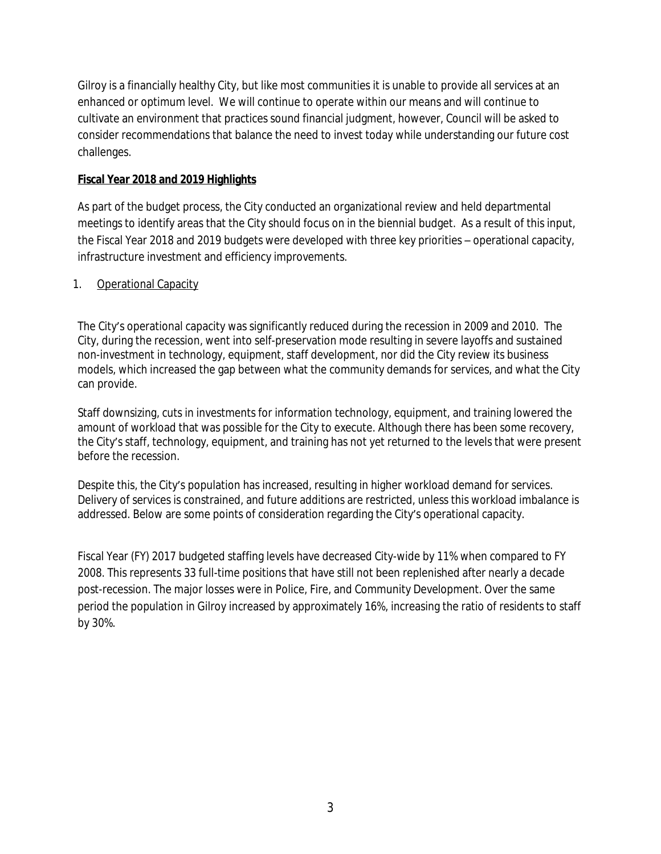Gilroy is a financially healthy City, but like most communities it is unable to provide all services at an enhanced or optimum level. We will continue to operate within our means and will continue to cultivate an environment that practices sound financial judgment, however, Council will be asked to consider recommendations that balance the need to invest today while understanding our future cost challenges.

## **Fiscal Year 2018 and 2019 Highlights**

As part of the budget process, the City conducted an organizational review and held departmental meetings to identify areas that the City should focus on in the biennial budget. As a result of this input, the Fiscal Year 2018 and 2019 budgets were developed with three key priorities – operational capacity, infrastructure investment and efficiency improvements.

# 1. Operational Capacity

The City's operational capacity was significantly reduced during the recession in 2009 and 2010. The City, during the recession, went into self-preservation mode resulting in severe layoffs and sustained non-investment in technology, equipment, staff development, nor did the City review its business models, which increased the gap between what the community demands for services, and what the City can provide.

Staff downsizing, cuts in investments for information technology, equipment, and training lowered the amount of workload that was possible for the City to execute. Although there has been some recovery, the City's staff, technology, equipment, and training has not yet returned to the levels that were present before the recession.

Despite this, the City's population has increased, resulting in higher workload demand for services. Delivery of services is constrained, and future additions are restricted, unless this workload imbalance is addressed. Below are some points of consideration regarding the City's operational capacity.

Fiscal Year (FY) 2017 budgeted staffing levels have decreased City-wide by 11% when compared to FY 2008. This represents 33 full-time positions that have still not been replenished after nearly a decade post-recession. The major losses were in Police, Fire, and Community Development. Over the same period the population in Gilroy increased by approximately 16%, increasing the ratio of residents to staff by 30%.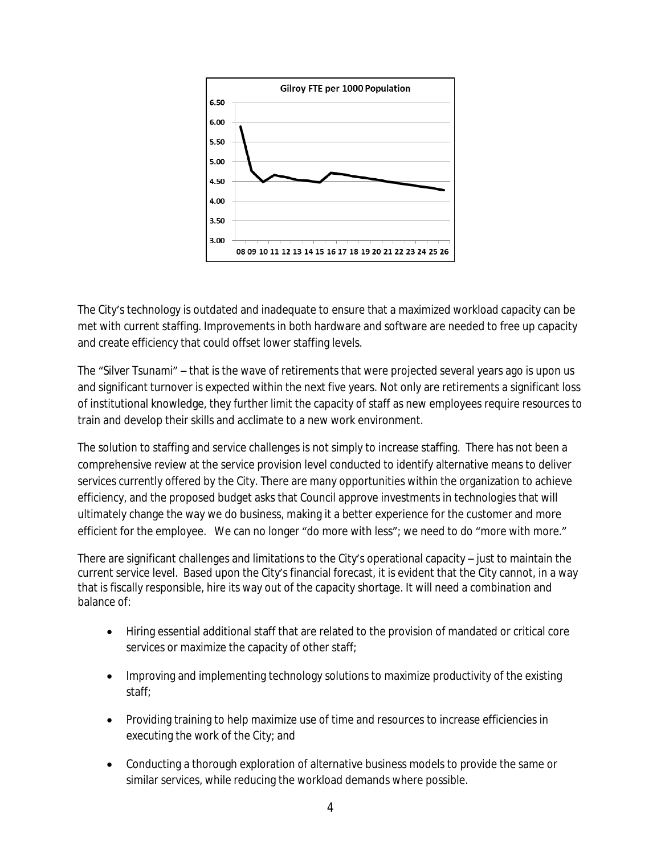

The City's technology is outdated and inadequate to ensure that a maximized workload capacity can be met with current staffing. Improvements in both hardware and software are needed to free up capacity and create efficiency that could offset lower staffing levels.

The "Silver Tsunami" – that is the wave of retirements that were projected several years ago is upon us and significant turnover is expected within the next five years. Not only are retirements a significant loss of institutional knowledge, they further limit the capacity of staff as new employees require resources to train and develop their skills and acclimate to a new work environment.

The solution to staffing and service challenges is not simply to increase staffing. There has not been a comprehensive review at the service provision level conducted to identify alternative means to deliver services currently offered by the City. There are many opportunities within the organization to achieve efficiency, and the proposed budget asks that Council approve investments in technologies that will ultimately change the way we do business, making it a better experience for the customer and more efficient for the employee. We can no longer "do more with less"; we need to do "more with more."

There are significant challenges and limitations to the City's operational capacity – just to maintain the current service level. Based upon the City's financial forecast, it is evident that the City cannot, in a way that is fiscally responsible, hire its way out of the capacity shortage. It will need a combination and balance of:

- Hiring essential additional staff that are related to the provision of mandated or critical core services or maximize the capacity of other staff;
- Improving and implementing technology solutions to maximize productivity of the existing staff;
- Providing training to help maximize use of time and resources to increase efficiencies in executing the work of the City; and
- Conducting a thorough exploration of alternative business models to provide the same or similar services, while reducing the workload demands where possible.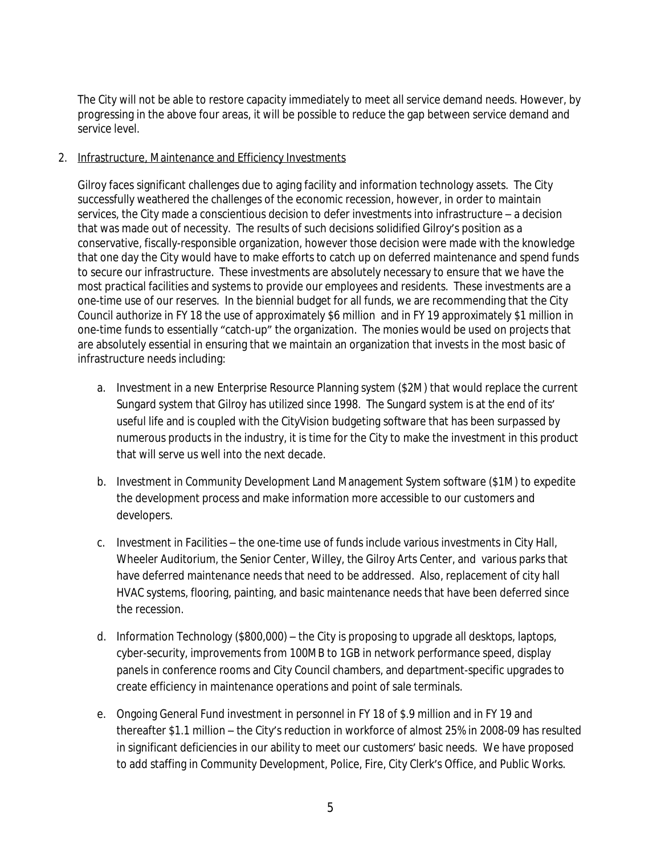The City will not be able to restore capacity immediately to meet all service demand needs. However, by progressing in the above four areas, it will be possible to reduce the gap between service demand and service level.

### 2. Infrastructure, Maintenance and Efficiency Investments

Gilroy faces significant challenges due to aging facility and information technology assets. The City successfully weathered the challenges of the economic recession, however, in order to maintain services, the City made a conscientious decision to defer investments into infrastructure – a decision that was made out of necessity. The results of such decisions solidified Gilroy's position as a conservative, fiscally-responsible organization, however those decision were made with the knowledge that one day the City would have to make efforts to catch up on deferred maintenance and spend funds to secure our infrastructure. These investments are absolutely necessary to ensure that we have the most practical facilities and systems to provide our employees and residents. These investments are a one-time use of our reserves. In the biennial budget for all funds, we are recommending that the City Council authorize in FY 18 the use of approximately \$6 million and in FY 19 approximately \$1 million in one-time funds to essentially "catch-up" the organization. The monies would be used on projects that are absolutely essential in ensuring that we maintain an organization that invests in the most basic of infrastructure needs including:

- a. Investment in a new Enterprise Resource Planning system (\$2M) that would replace the current Sungard system that Gilroy has utilized since 1998. The Sungard system is at the end of its' useful life and is coupled with the CityVision budgeting software that has been surpassed by numerous products in the industry, it is time for the City to make the investment in this product that will serve us well into the next decade.
- b. Investment in Community Development Land Management System software (\$1M) to expedite the development process and make information more accessible to our customers and developers.
- c. Investment in Facilities the one-time use of funds include various investments in City Hall, Wheeler Auditorium, the Senior Center, Willey, the Gilroy Arts Center, and various parks that have deferred maintenance needs that need to be addressed. Also, replacement of city hall HVAC systems, flooring, painting, and basic maintenance needs that have been deferred since the recession.
- d. Information Technology (\$800,000) the City is proposing to upgrade all desktops, laptops, cyber-security, improvements from 100MB to 1GB in network performance speed, display panels in conference rooms and City Council chambers, and department-specific upgrades to create efficiency in maintenance operations and point of sale terminals.
- e. Ongoing General Fund investment in personnel in FY 18 of \$.9 million and in FY 19 and thereafter \$1.1 million – the City's reduction in workforce of almost 25% in 2008-09 has resulted in significant deficiencies in our ability to meet our customers' basic needs. We have proposed to add staffing in Community Development, Police, Fire, City Clerk's Office, and Public Works.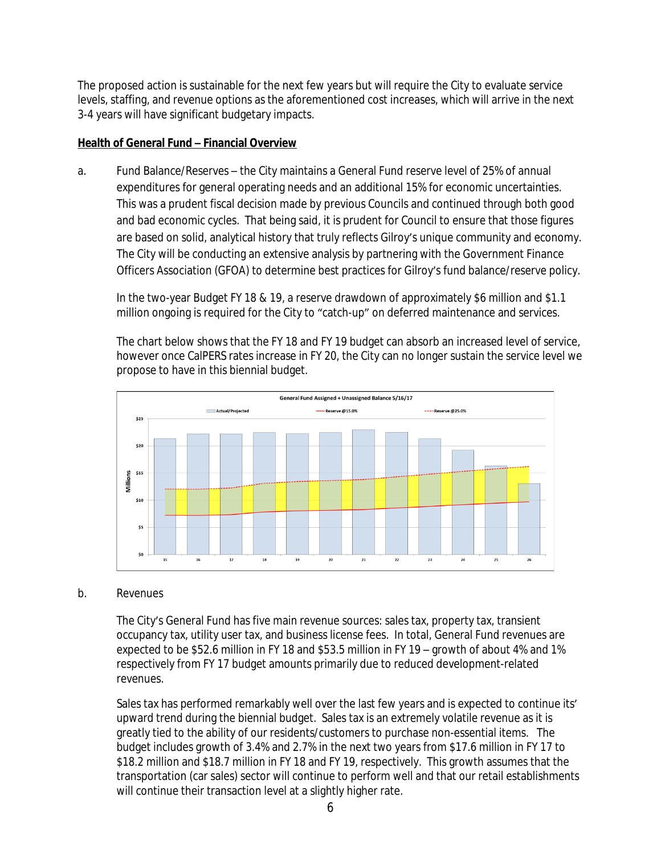The proposed action is sustainable for the next few years but will require the City to evaluate service levels, staffing, and revenue options as the aforementioned cost increases, which will arrive in the next 3-4 years will have significant budgetary impacts.

#### **Health of General Fund – Financial Overview**

a. Fund Balance/Reserves – the City maintains a General Fund reserve level of 25% of annual expenditures for general operating needs and an additional 15% for economic uncertainties. This was a prudent fiscal decision made by previous Councils and continued through both good and bad economic cycles. That being said, it is prudent for Council to ensure that those figures are based on solid, analytical history that truly reflects Gilroy's unique community and economy. The City will be conducting an extensive analysis by partnering with the Government Finance Officers Association (GFOA) to determine best practices for Gilroy's fund balance/reserve policy.

In the two-year Budget FY 18 & 19, a reserve drawdown of approximately \$6 million and \$1.1 million ongoing is required for the City to "catch-up" on deferred maintenance and services.

The chart below shows that the FY 18 and FY 19 budget can absorb an increased level of service, however once CalPERS rates increase in FY 20, the City can no longer sustain the service level we propose to have in this biennial budget.



#### b. Revenues

The City's General Fund has five main revenue sources: sales tax, property tax, transient occupancy tax, utility user tax, and business license fees. In total, General Fund revenues are expected to be \$52.6 million in FY 18 and \$53.5 million in FY 19 – growth of about 4% and 1% respectively from FY 17 budget amounts primarily due to reduced development-related revenues.

Sales tax has performed remarkably well over the last few years and is expected to continue its' upward trend during the biennial budget. Sales tax is an extremely volatile revenue as it is greatly tied to the ability of our residents/customers to purchase non-essential items. The budget includes growth of 3.4% and 2.7% in the next two years from \$17.6 million in FY 17 to \$18.2 million and \$18.7 million in FY 18 and FY 19, respectively. This growth assumes that the transportation (car sales) sector will continue to perform well and that our retail establishments will continue their transaction level at a slightly higher rate.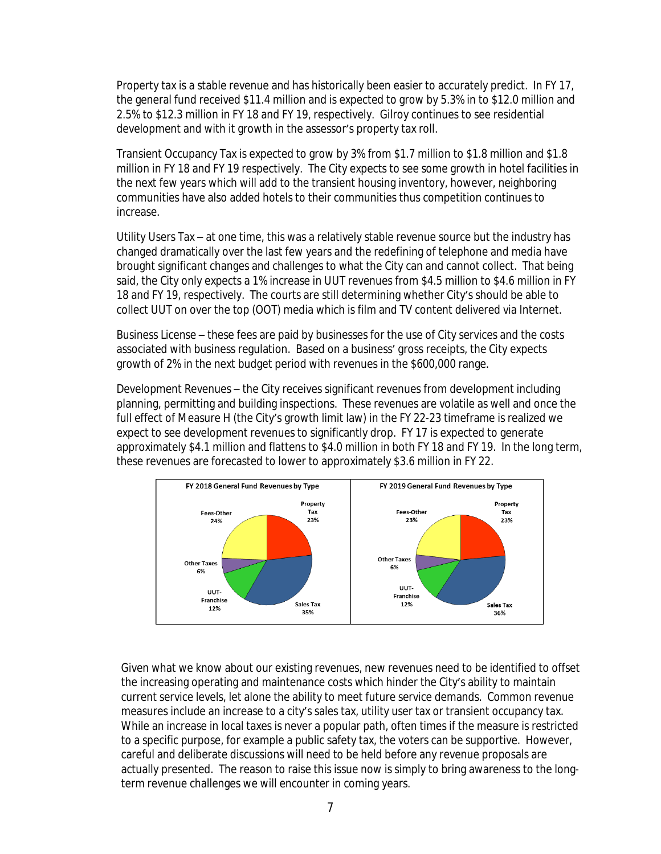Property tax is a stable revenue and has historically been easier to accurately predict. In FY 17, the general fund received \$11.4 million and is expected to grow by 5.3% in to \$12.0 million and 2.5% to \$12.3 million in FY 18 and FY 19, respectively. Gilroy continues to see residential development and with it growth in the assessor's property tax roll.

Transient Occupancy Tax is expected to grow by 3% from \$1.7 million to \$1.8 million and \$1.8 million in FY 18 and FY 19 respectively. The City expects to see some growth in hotel facilities in the next few years which will add to the transient housing inventory, however, neighboring communities have also added hotels to their communities thus competition continues to increase.

Utility Users Tax – at one time, this was a relatively stable revenue source but the industry has changed dramatically over the last few years and the redefining of telephone and media have brought significant changes and challenges to what the City can and cannot collect. That being said, the City only expects a 1% increase in UUT revenues from \$4.5 million to \$4.6 million in FY 18 and FY 19, respectively. The courts are still determining whether City's should be able to collect UUT on over the top (OOT) media which is film and TV content delivered via Internet.

Business License – these fees are paid by businesses for the use of City services and the costs associated with business regulation. Based on a business' gross receipts, the City expects growth of 2% in the next budget period with revenues in the \$600,000 range.

Development Revenues – the City receives significant revenues from development including planning, permitting and building inspections. These revenues are volatile as well and once the full effect of Measure H (the City's growth limit law) in the FY 22-23 timeframe is realized we expect to see development revenues to significantly drop. FY 17 is expected to generate approximately \$4.1 million and flattens to \$4.0 million in both FY 18 and FY 19. In the long term, these revenues are forecasted to lower to approximately \$3.6 million in FY 22.



Given what we know about our existing revenues, new revenues need to be identified to offset the increasing operating and maintenance costs which hinder the City's ability to maintain current service levels, let alone the ability to meet future service demands. Common revenue measures include an increase to a city's sales tax, utility user tax or transient occupancy tax. While an increase in local taxes is never a popular path, often times if the measure is restricted to a specific purpose, for example a public safety tax, the voters can be supportive. However, careful and deliberate discussions will need to be held before any revenue proposals are actually presented. The reason to raise this issue now is simply to bring awareness to the longterm revenue challenges we will encounter in coming years.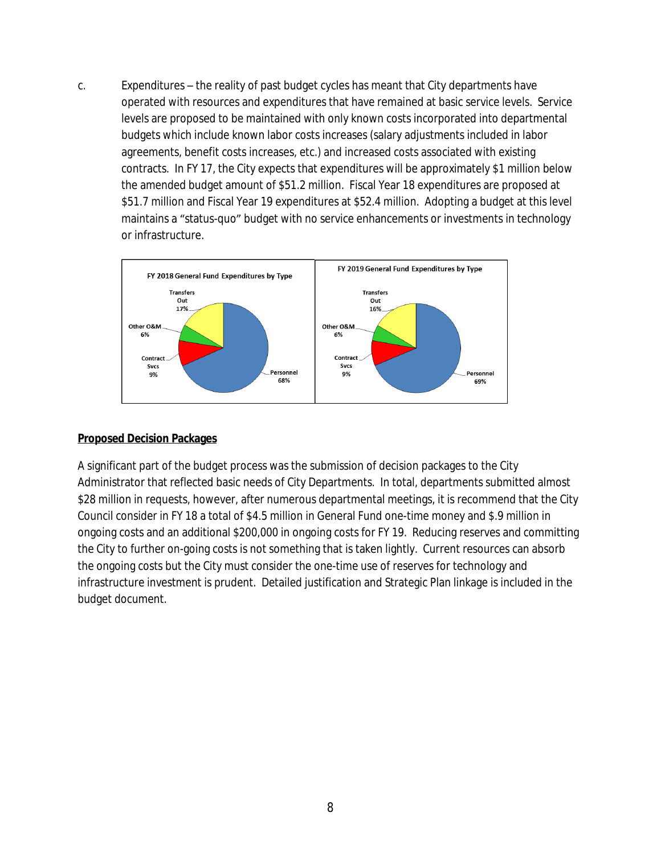c. Expenditures – the reality of past budget cycles has meant that City departments have operated with resources and expenditures that have remained at basic service levels. Service levels are proposed to be maintained with only known costs incorporated into departmental budgets which include known labor costs increases (salary adjustments included in labor agreements, benefit costs increases, etc.) and increased costs associated with existing contracts. In FY 17, the City expects that expenditures will be approximately \$1 million below the amended budget amount of \$51.2 million. Fiscal Year 18 expenditures are proposed at \$51.7 million and Fiscal Year 19 expenditures at \$52.4 million. Adopting a budget at this level maintains a "status-quo" budget with no service enhancements or investments in technology or infrastructure.



#### **Proposed Decision Packages**

A significant part of the budget process was the submission of decision packages to the City Administrator that reflected basic needs of City Departments. In total, departments submitted almost \$28 million in requests, however, after numerous departmental meetings, it is recommend that the City Council consider in FY 18 a total of \$4.5 million in General Fund one-time money and \$.9 million in ongoing costs and an additional \$200,000 in ongoing costs for FY 19. Reducing reserves and committing the City to further on-going costs is not something that is taken lightly. Current resources can absorb the ongoing costs but the City must consider the one-time use of reserves for technology and infrastructure investment is prudent. Detailed justification and Strategic Plan linkage is included in the budget document.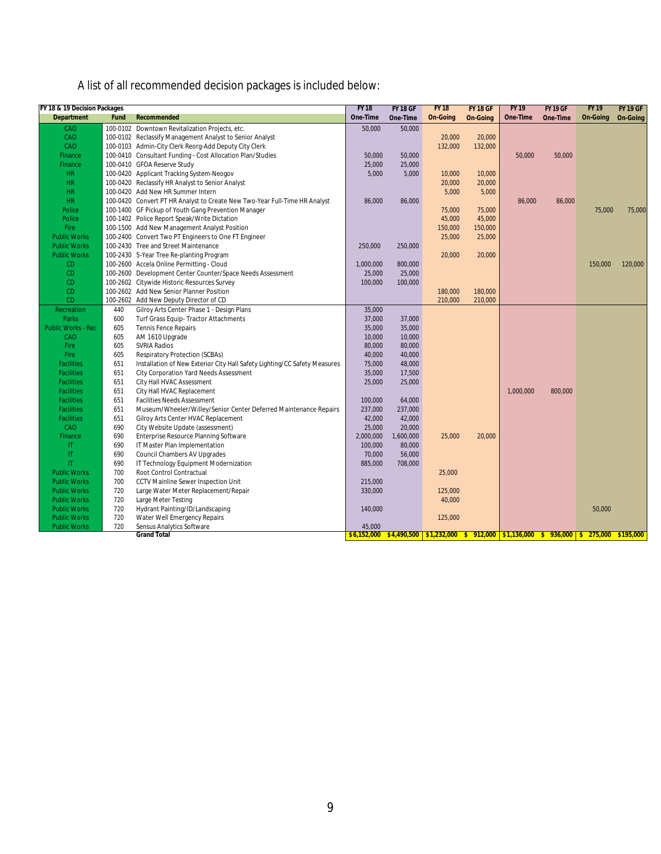# A list of all recommended decision packages is included below:

| FY 18 & 19 Decision Packages<br><b>Department</b> | Fund | Recommended                                                                | <b>FY 18</b><br>One-Time | <b>FY 18 GF</b><br>One-Time | <b>FY 18</b><br><b>On-Going</b> | <b>FY 18 GF</b><br><b>On-Going</b> | <b>FY 19</b><br>One-Time | <b>FY 19 GF</b><br>One-Time | <b>FY 19</b><br><b>On-Going</b> | <b>FY 19 GF</b><br>On-Going |
|---------------------------------------------------|------|----------------------------------------------------------------------------|--------------------------|-----------------------------|---------------------------------|------------------------------------|--------------------------|-----------------------------|---------------------------------|-----------------------------|
| CAO                                               |      | 100-0102 Downtown Revitalization Projects, etc.                            | 50,000                   | 50,000                      |                                 |                                    |                          |                             |                                 |                             |
| CAO                                               |      | 100-0102 Reclassify Management Analyst to Senior Analyst                   |                          |                             | 20,000                          | 20,000                             |                          |                             |                                 |                             |
| CAO                                               |      | 100-0103 Admin-City Clerk Reorg-Add Deputy City Clerk                      |                          |                             | 132,000                         | 132,000                            |                          |                             |                                 |                             |
| Finance                                           |      | 100-0410 Consultant Funding - Cost Allocation Plan/Studies                 | 50,000                   | 50,000                      |                                 |                                    | 50,000                   | 50,000                      |                                 |                             |
| <b>Finance</b>                                    |      | 100-0410 GFOA Reserve Study                                                | 25,000                   | 25,000                      |                                 |                                    |                          |                             |                                 |                             |
| <b>HR</b>                                         |      | 100-0420 Applicant Tracking System-Neogov                                  | 5,000                    | 5,000                       | 10,000                          | 10,000                             |                          |                             |                                 |                             |
| <b>HR</b>                                         |      | 100-0420 Reclassify HR Analyst to Senior Analyst                           |                          |                             | 20,000                          | 20,000                             |                          |                             |                                 |                             |
| <b>HR</b>                                         |      | 100-0420 Add New HR Summer Intern                                          |                          |                             | 5,000                           | 5,000                              |                          |                             |                                 |                             |
| <b>HR</b>                                         |      | 100-0420 Convert PT HR Analyst to Create New Two-Year Full-Time HR Analyst | 86,000                   | 86,000                      |                                 |                                    | 86,000                   | 86,000                      |                                 |                             |
| Police                                            |      | 100-1400 GF Pickup of Youth Gang Prevention Manager                        |                          |                             | 75,000                          | 75,000                             |                          |                             | 75,000                          | 75,000                      |
| Police                                            |      |                                                                            |                          |                             | 45,000                          |                                    |                          |                             |                                 |                             |
| Fire                                              |      | 100-1402 Police Report Speak/Write Dictation                               |                          |                             | 150,000                         | 45,000                             |                          |                             |                                 |                             |
| <b>Public Works</b>                               |      | 100-1500 Add New Management Analyst Position                               |                          |                             | 25,000                          | 150,000                            |                          |                             |                                 |                             |
|                                                   |      | 100-2400 Convert Two PT Engineers to One FT Engineer                       |                          |                             |                                 | 25,000                             |                          |                             |                                 |                             |
| <b>Public Works</b>                               |      | 100-2430 Tree and Street Maintenance                                       | 250,000                  | 250,000                     |                                 |                                    |                          |                             |                                 |                             |
| <b>Public Works</b>                               |      | 100-2430 5-Year Tree Re-planting Program                                   |                          |                             | 20,000                          | 20,000                             |                          |                             |                                 |                             |
| CD                                                |      | 100-2600 Accela Online Permitting - Cloud                                  | 1.000.000                | 800,000                     |                                 |                                    |                          |                             | 150.000                         | 120,000                     |
| C <sub>D</sub>                                    |      | 100-2600 Development Center Counter/Space Needs Assessment                 | 25,000                   | 25,000                      |                                 |                                    |                          |                             |                                 |                             |
| CD                                                |      | 100-2602 Citywide Historic Resources Survey                                | 100,000                  | 100,000                     |                                 |                                    |                          |                             |                                 |                             |
| <b>CD</b>                                         |      | 100-2602 Add New Senior Planner Position                                   |                          |                             | 180,000                         | 180,000                            |                          |                             |                                 |                             |
| <b>CD</b>                                         |      | 100-2602 Add New Deputy Director of CD                                     |                          |                             | 210,000                         | 210,000                            |                          |                             |                                 |                             |
| Recreation                                        | 440  | Gilroy Arts Center Phase 1 - Design Plans                                  | 35,000                   |                             |                                 |                                    |                          |                             |                                 |                             |
| <b>Parks</b>                                      | 600  | Turf Grass Equip-Tractor Attachments                                       | 37,000                   | 37,000                      |                                 |                                    |                          |                             |                                 |                             |
| <b>Public Works - Rec</b>                         | 605  | <b>Tennis Fence Repairs</b>                                                | 35,000                   | 35,000                      |                                 |                                    |                          |                             |                                 |                             |
| CAO                                               | 605  | AM 1610 Upgrade                                                            | 10,000                   | 10,000                      |                                 |                                    |                          |                             |                                 |                             |
| Fire                                              | 605  | <b>SVRIA Radios</b>                                                        | 80,000                   | 80,000                      |                                 |                                    |                          |                             |                                 |                             |
| Fire                                              | 605  | Respiratory Protection (SCBAs)                                             | 40,000                   | 40,000                      |                                 |                                    |                          |                             |                                 |                             |
| <b>Facilities</b>                                 | 651  | Installation of New Exterior City Hall Safety Lighting/CC Safety Measures  | 75,000                   | 48,000                      |                                 |                                    |                          |                             |                                 |                             |
| <b>Facilities</b>                                 | 651  | City Corporation Yard Needs Assessment                                     | 35,000                   | 17,500                      |                                 |                                    |                          |                             |                                 |                             |
| <b>Facilities</b>                                 | 651  | City Hall HVAC Assessment                                                  | 25,000                   | 25,000                      |                                 |                                    |                          |                             |                                 |                             |
| <b>Facilities</b>                                 | 651  | City Hall HVAC Replacement                                                 |                          |                             |                                 |                                    | 1,000,000                | 800,000                     |                                 |                             |
| <b>Facilities</b>                                 | 651  | <b>Facilities Needs Assessment</b>                                         | 100,000                  | 64,000                      |                                 |                                    |                          |                             |                                 |                             |
| <b>Facilities</b>                                 | 651  | Museum/Wheeler/Willey/Senior Center Deferred Maintenance Repairs           | 237,000                  | 237,000                     |                                 |                                    |                          |                             |                                 |                             |
| <b>Facilities</b>                                 | 651  | Gilroy Arts Center HVAC Replacement                                        | 42,000                   | 42,000                      |                                 |                                    |                          |                             |                                 |                             |
| CAO                                               | 690  | City Website Update (assessment)                                           | 25,000                   | 20,000                      |                                 |                                    |                          |                             |                                 |                             |
| Finance                                           | 690  | Enterprise Resource Planning Software                                      | 2,000,000                | 1,600,000                   | 25,000                          | 20,000                             |                          |                             |                                 |                             |
| $\mathsf{I}\mathsf{T}$                            | 690  | IT Master Plan Implementation                                              | 100,000                  | 80,000                      |                                 |                                    |                          |                             |                                 |                             |
| $\mathsf{I}\mathsf{T}$                            | 690  | Council Chambers AV Upgrades                                               | 70,000                   | 56,000                      |                                 |                                    |                          |                             |                                 |                             |
| $\mathsf{I}$                                      | 690  | IT Technology Equipment Modernization                                      | 885,000                  | 708,000                     |                                 |                                    |                          |                             |                                 |                             |
| <b>Public Works</b>                               | 700  | Root Control Contractual                                                   |                          |                             | 25,000                          |                                    |                          |                             |                                 |                             |
| <b>Public Works</b>                               | 700  | CCTV Mainline Sewer Inspection Unit                                        | 215,000                  |                             |                                 |                                    |                          |                             |                                 |                             |
| <b>Public Works</b>                               | 720  | Large Water Meter Replacement/Repair                                       | 330,000                  |                             | 125,000                         |                                    |                          |                             |                                 |                             |
| <b>Public Works</b>                               | 720  | Large Meter Testing                                                        |                          |                             | 40,000                          |                                    |                          |                             |                                 |                             |
| <b>Public Works</b>                               | 720  | Hydrant Painting/ID/Landscaping                                            | 140,000                  |                             |                                 |                                    |                          |                             | 50,000                          |                             |
| <b>Public Works</b>                               | 720  | Water Well Emergency Repairs                                               |                          |                             | 125,000                         |                                    |                          |                             |                                 |                             |
| <b>Public Works</b>                               | 720  | Sensus Analytics Software                                                  | 45,000                   |                             |                                 |                                    |                          |                             |                                 |                             |
|                                                   |      |                                                                            |                          |                             |                                 |                                    |                          |                             |                                 |                             |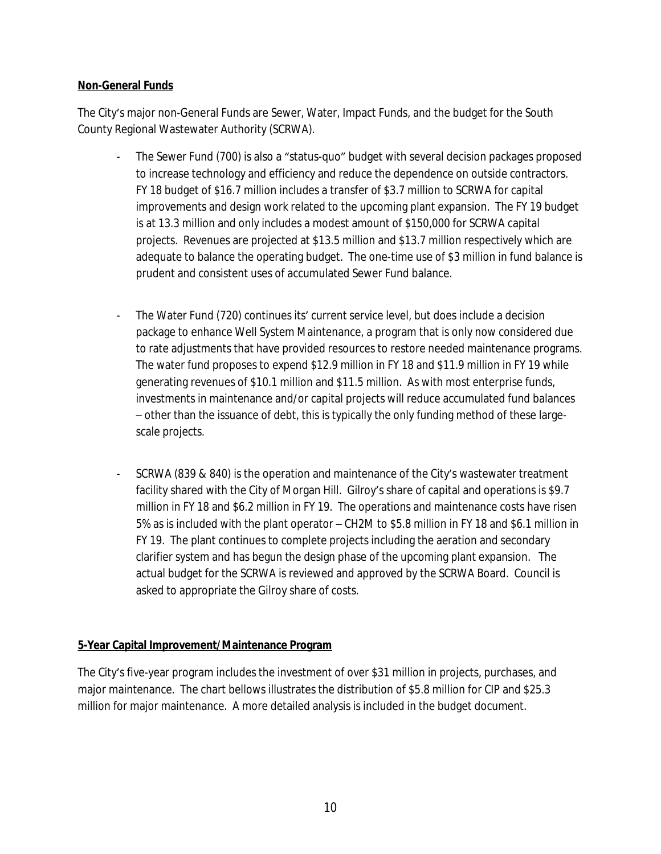## **Non-General Funds**

The City's major non-General Funds are Sewer, Water, Impact Funds, and the budget for the South County Regional Wastewater Authority (SCRWA).

- The Sewer Fund (700) is also a "status-quo" budget with several decision packages proposed to increase technology and efficiency and reduce the dependence on outside contractors. FY 18 budget of \$16.7 million includes a transfer of \$3.7 million to SCRWA for capital improvements and design work related to the upcoming plant expansion. The FY 19 budget is at 13.3 million and only includes a modest amount of \$150,000 for SCRWA capital projects. Revenues are projected at \$13.5 million and \$13.7 million respectively which are adequate to balance the operating budget. The one-time use of \$3 million in fund balance is prudent and consistent uses of accumulated Sewer Fund balance.
- The Water Fund (720) continues its' current service level, but does include a decision package to enhance Well System Maintenance, a program that is only now considered due to rate adjustments that have provided resources to restore needed maintenance programs. The water fund proposes to expend \$12.9 million in FY 18 and \$11.9 million in FY 19 while generating revenues of \$10.1 million and \$11.5 million. As with most enterprise funds, investments in maintenance and/or capital projects will reduce accumulated fund balances – other than the issuance of debt, this is typically the only funding method of these largescale projects.
- SCRWA (839 & 840) is the operation and maintenance of the City's wastewater treatment facility shared with the City of Morgan Hill. Gilroy's share of capital and operations is \$9.7 million in FY 18 and \$6.2 million in FY 19. The operations and maintenance costs have risen 5% as is included with the plant operator – CH2M to \$5.8 million in FY 18 and \$6.1 million in FY 19. The plant continues to complete projects including the aeration and secondary clarifier system and has begun the design phase of the upcoming plant expansion. The actual budget for the SCRWA is reviewed and approved by the SCRWA Board. Council is asked to appropriate the Gilroy share of costs.

#### **5-Year Capital Improvement/Maintenance Program**

The City's five-year program includes the investment of over \$31 million in projects, purchases, and major maintenance. The chart bellows illustrates the distribution of \$5.8 million for CIP and \$25.3 million for major maintenance. A more detailed analysis is included in the budget document.